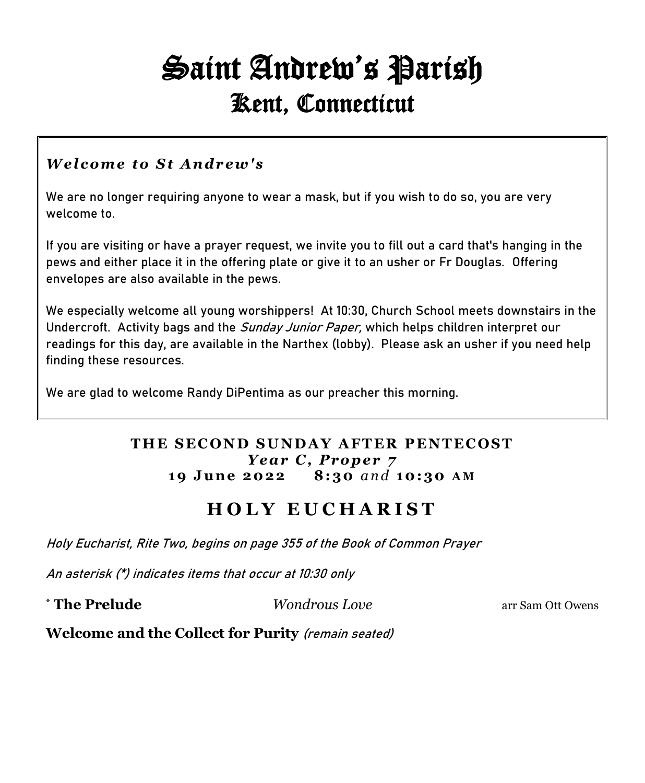# Saint Andrew's Parish Kent, Connecticut

# *Welcome to St Andrew's*

We are no longer requiring anyone to wear a mask, but if you wish to do so, you are very welcome to.

If you are **visiting** or have a **prayer request,** we invite you to fill out a card that's hanging in the pews and either place it in the offering plate or give it to an usher or Fr Douglas. **Offering envelopes** are also available in the pews.

We especially welcome all **young worshippers!** At 10:30, Church School meets downstairs in the Undercroft. Activity bags and the *Sunday Junior Paper*, which helps children interpret our readings for this day, are available in the Narthex (lobby). Please ask an usher if you need help finding these resources.

We are glad to welcome **Randy DiPentima** as our preacher this morning.

## **T H E S EC O N D S U N D A Y A F T ER P EN T EC OS T** *Year C, Proper 7* **1 9 J un e 2 0 2 2 8 : 30** *a n d* **1 0 : 30 A M**

# **H O L Y E U C H A R I S T**

Holy Eucharist, Rite Two, begins on page 355 of the Book of Common Prayer

An asterisk (\*) indicates items that occur at 10:30 only

**\* The Prelude** *Wondrous Love* arr Sam Ott Owens

**Welcome and the Collect for Purity** (remain seated)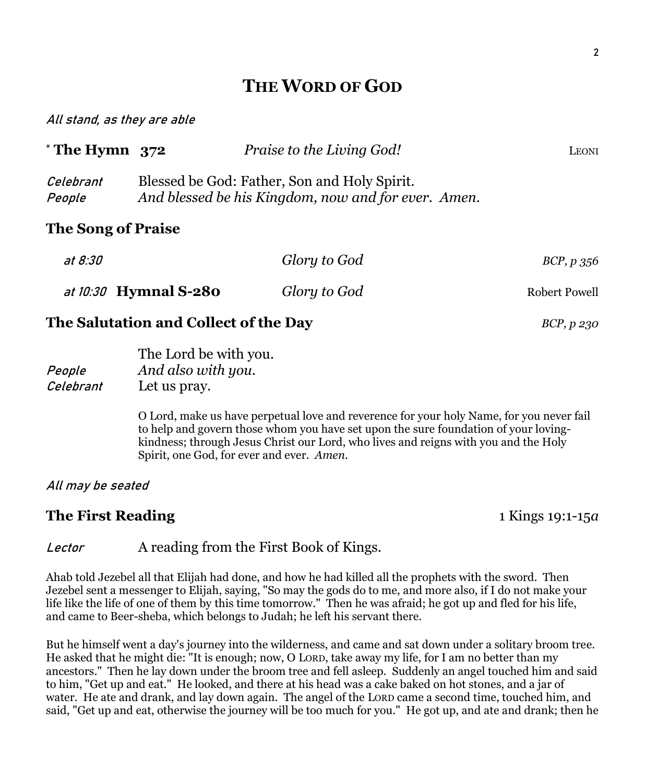# **THE WORD OF GOD**

All stand, as they are able

| $*$ The Hymn 372          |                                       | Praise to the Living God!                                                                           | LEONI                     |
|---------------------------|---------------------------------------|-----------------------------------------------------------------------------------------------------|---------------------------|
| Celebrant<br>People       |                                       | Blessed be God: Father, Son and Holy Spirit.<br>And blessed be his Kingdom, now and for ever. Amen. |                           |
| <b>The Song of Praise</b> |                                       |                                                                                                     |                           |
| at 8:30                   |                                       | Glory to God                                                                                        | BCP, p.356                |
|                           | at 10:30 Hymnal S-280                 | Glory to God                                                                                        | Robert Powell             |
|                           | The Salutation and Collect of the Day |                                                                                                     | <i>BCP</i> , <i>p</i> 230 |

|           | The Lord be with you. |
|-----------|-----------------------|
| People    | And also with you.    |
| Celebrant | Let us pray.          |

O Lord, make us have perpetual love and reverence for your holy Name, for you never fail to help and govern those whom you have set upon the sure foundation of your lovingkindness; through Jesus Christ our Lord, who lives and reigns with you and the Holy Spirit, one God, for ever and ever. *Amen*.

All may be seated

### **The First Reading** 1 Kings 19:1-15*a*

Lector A reading from the First Book of Kings.

Ahab told Jezebel all that Elijah had done, and how he had killed all the prophets with the sword. Then Jezebel sent a messenger to Elijah, saying, "So may the gods do to me, and more also, if I do not make your life like the life of one of them by this time tomorrow." Then he was afraid; he got up and fled for his life, and came to Beer-sheba, which belongs to Judah; he left his servant there.

But he himself went a day's journey into the wilderness, and came and sat down under a solitary broom tree. He asked that he might die: "It is enough; now, O LORD, take away my life, for I am no better than my ancestors." Then he lay down under the broom tree and fell asleep. Suddenly an angel touched him and said to him, "Get up and eat." He looked, and there at his head was a cake baked on hot stones, and a jar of water. He ate and drank, and lay down again. The angel of the LORD came a second time, touched him, and said, "Get up and eat, otherwise the journey will be too much for you." He got up, and ate and drank; then he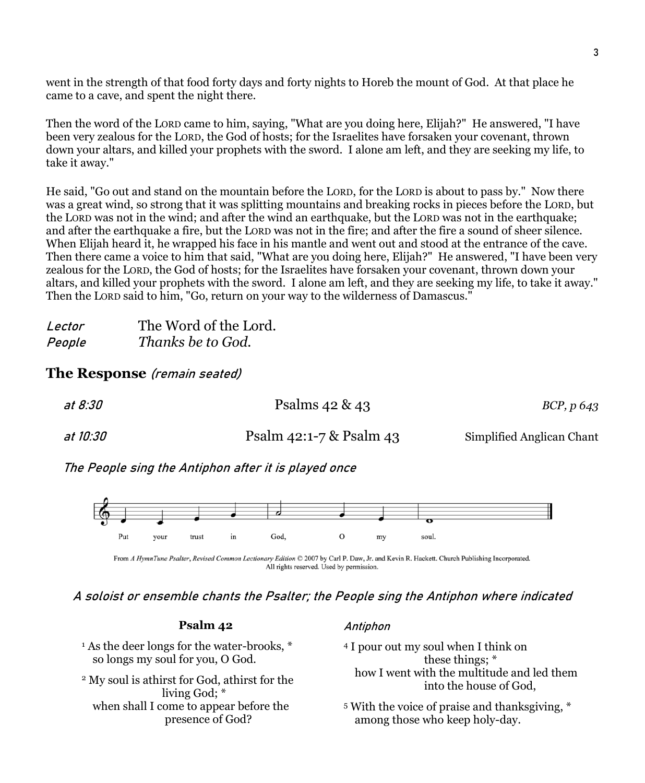went in the strength of that food forty days and forty nights to Horeb the mount of God. At that place he came to a cave, and spent the night there.

Then the word of the LORD came to him, saying, "What are you doing here, Elijah?" He answered, "I have been very zealous for the LORD, the God of hosts; for the Israelites have forsaken your covenant, thrown down your altars, and killed your prophets with the sword. I alone am left, and they are seeking my life, to take it away."

He said, "Go out and stand on the mountain before the LORD, for the LORD is about to pass by." Now there was a great wind, so strong that it was splitting mountains and breaking rocks in pieces before the LORD, but the LORD was not in the wind; and after the wind an earthquake, but the LORD was not in the earthquake; and after the earthquake a fire, but the LORD was not in the fire; and after the fire a sound of sheer silence. When Elijah heard it, he wrapped his face in his mantle and went out and stood at the entrance of the cave. Then there came a voice to him that said, "What are you doing here, Elijah?" He answered, "I have been very zealous for the LORD, the God of hosts; for the Israelites have forsaken your covenant, thrown down your altars, and killed your prophets with the sword. I alone am left, and they are seeking my life, to take it away." Then the LORD said to him, "Go, return on your way to the wilderness of Damascus."

| Lector | The Word of the Lord. |
|--------|-----------------------|
| People | Thanks be to God.     |

#### **The Response** (remain seated)

| at 8:30  | Psalms $42 \& 43$       | BCP, p 643                |
|----------|-------------------------|---------------------------|
| at 10:30 | Psalm 42:1-7 & Psalm 43 | Simplified Anglican Chant |

The People sing the Antiphon after it is played once



All rights reserved. Used by permission.

#### A soloist or ensemble chants the Psalter; the People sing the Antiphon where indicated

#### **Psalm 42**

<sup>1</sup> As the deer longs for the water-brooks,  $*$ so longs my soul for you, O God.

<sup>2</sup> My soul is athirst for God, athirst for the living God; \* when shall I come to appear before the presence of God?

#### **Antiphon**

- <sup>4</sup> I pour out my soul when I think on these things; \* how I went with the multitude and led them into the house of God,
- <sup>5</sup> With the voice of praise and thanksgiving, \* among those who keep holy-day.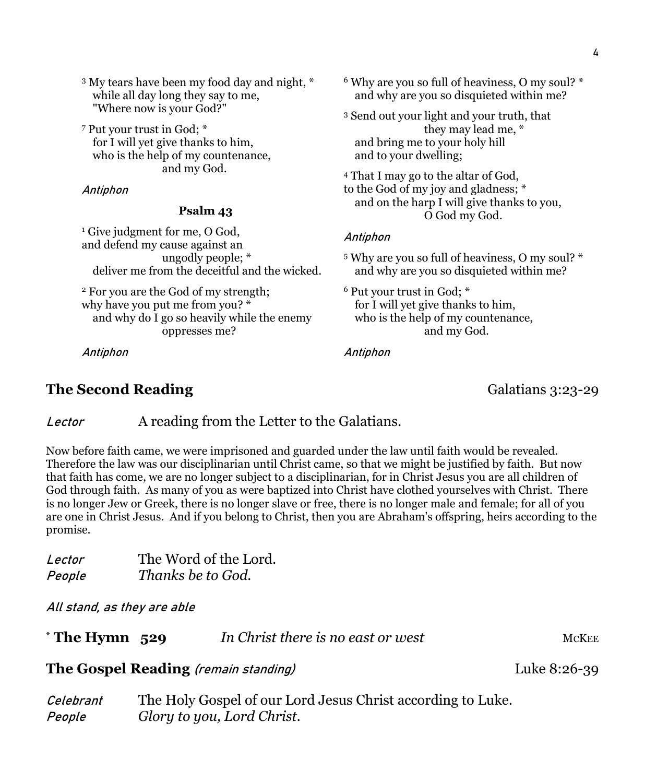- <sup>3</sup> My tears have been my food day and night, \* while all day long they say to me, "Where now is your God?"
- <sup>7</sup> Put your trust in God; \* for I will yet give thanks to him, who is the help of my countenance, and my God.

#### **Antiphon**

#### **Psalm 43**

<sup>1</sup> Give judgment for me, O God, and defend my cause against an ungodly people; \* deliver me from the deceitful and the wicked.

<sup>2</sup> For you are the God of my strength; why have you put me from you? \* and why do I go so heavily while the enemy oppresses me?

**Antiphon**

#### **The Second Reading The Second Reading Second Reading Second Reading Second Reading Second Reading Second Reading Second Reading Second Reading Second Reading Second Reading Second Reading Second Reading Second Reading Sec**

- <sup>6</sup> Why are you so full of heaviness, O my soul? \* and why are you so disquieted within me?
- <sup>3</sup> Send out your light and your truth, that they may lead me, \* and bring me to your holy hill and to your dwelling;

<sup>4</sup> That I may go to the altar of God, to the God of my joy and gladness; \* and on the harp I will give thanks to you, O God my God.

#### **Antiphon**

<sup>5</sup> Why are you so full of heaviness, O my soul? \* and why are you so disquieted within me?

<sup>6</sup> Put your trust in God; \* for I will yet give thanks to him, who is the help of my countenance, and my God.

#### **Antiphon**

#### Lector A reading from the Letter to the Galatians.

Now before faith came, we were imprisoned and guarded under the law until faith would be revealed. Therefore the law was our disciplinarian until Christ came, so that we might be justified by faith. But now that faith has come, we are no longer subject to a disciplinarian, for in Christ Jesus you are all children of God through faith. As many of you as were baptized into Christ have clothed yourselves with Christ. There is no longer Jew or Greek, there is no longer slave or free, there is no longer male and female; for all of you are one in Christ Jesus. And if you belong to Christ, then you are Abraham's offspring, heirs according to the promise.

| Lector | The Word of the Lord. |
|--------|-----------------------|
| People | Thanks be to God.     |

All stand, as they are able

| $*$ The Hymn 529 | In Christ there is no east or west | <b>MCKEE</b> |
|------------------|------------------------------------|--------------|
|------------------|------------------------------------|--------------|

#### **The Gospel Reading** (remain standing) Luke 8:26-39

Celebrant The Holy Gospel of our Lord Jesus Christ according to Luke. People *Glory to you, Lord Christ.*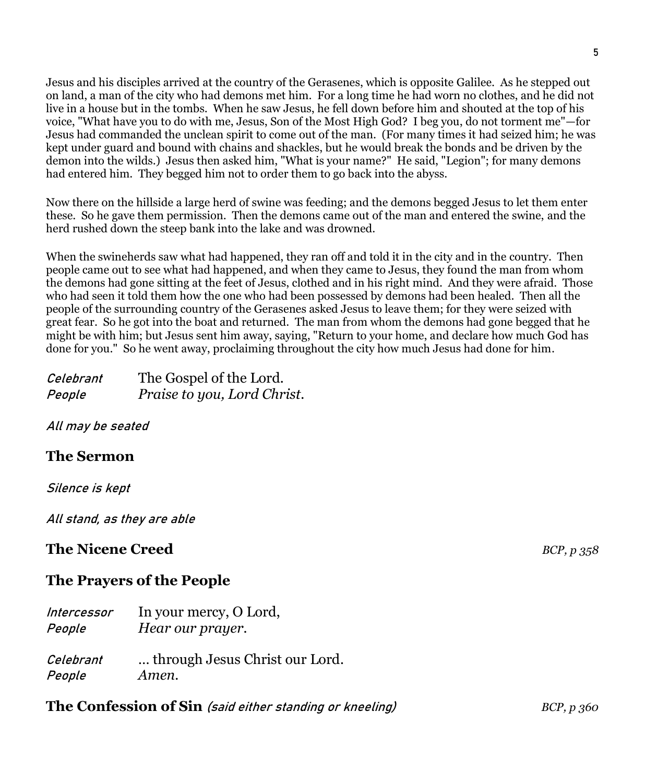Jesus and his disciples arrived at the country of the Gerasenes, which is opposite Galilee. As he stepped out on land, a man of the city who had demons met him. For a long time he had worn no clothes, and he did not live in a house but in the tombs. When he saw Jesus, he fell down before him and shouted at the top of his voice, "What have you to do with me, Jesus, Son of the Most High God? I beg you, do not torment me"—for Jesus had commanded the unclean spirit to come out of the man. (For many times it had seized him; he was kept under guard and bound with chains and shackles, but he would break the bonds and be driven by the demon into the wilds.) Jesus then asked him, "What is your name?" He said, "Legion"; for many demons had entered him. They begged him not to order them to go back into the abyss.

Now there on the hillside a large herd of swine was feeding; and the demons begged Jesus to let them enter these. So he gave them permission. Then the demons came out of the man and entered the swine, and the herd rushed down the steep bank into the lake and was drowned.

When the swineherds saw what had happened, they ran off and told it in the city and in the country. Then people came out to see what had happened, and when they came to Jesus, they found the man from whom the demons had gone sitting at the feet of Jesus, clothed and in his right mind. And they were afraid. Those who had seen it told them how the one who had been possessed by demons had been healed. Then all the people of the surrounding country of the Gerasenes asked Jesus to leave them; for they were seized with great fear. So he got into the boat and returned. The man from whom the demons had gone begged that he might be with him; but Jesus sent him away, saying, "Return to your home, and declare how much God has done for you." So he went away, proclaiming throughout the city how much Jesus had done for him.

| Celebrant | The Gospel of the Lord.     |
|-----------|-----------------------------|
| People    | Praise to you, Lord Christ. |

All may be seated

### **The Sermon**

Silence is kept

All stand, as they are able

#### **The Nicene Creed** *BCP, p 358*

#### **The Prayers of the People**

| Intercessor | In your mercy, O Lord, |
|-------------|------------------------|
| People      | Hear our prayer.       |

Celebrant … through Jesus Christ our Lord. People *Amen.*

**The Confession of Sin** *(said either standing or kneeling) BCP, p 360*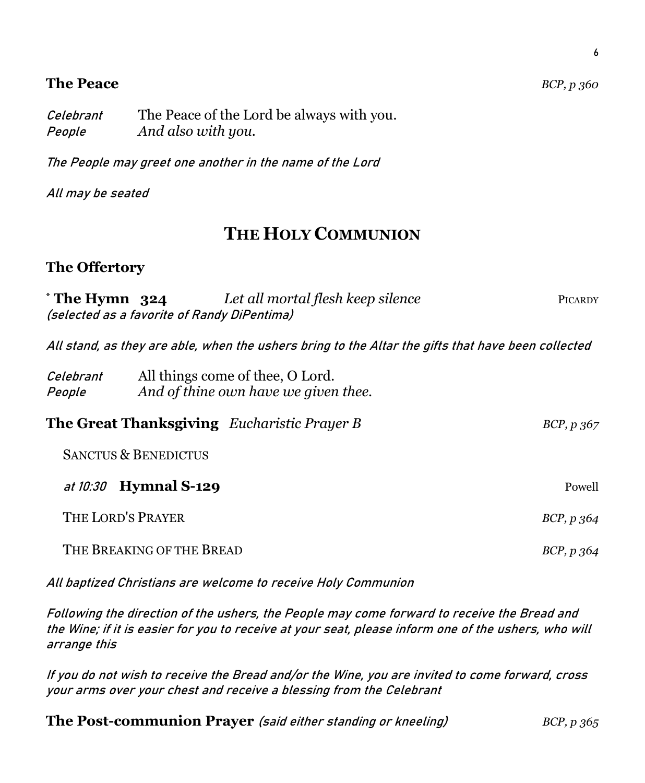| Celebrant<br>People                     | And also with you.                          | The Peace of the Lord be always with you.                                                          |                |
|-----------------------------------------|---------------------------------------------|----------------------------------------------------------------------------------------------------|----------------|
|                                         |                                             | The People may greet one another in the name of the Lord                                           |                |
| All may be seated                       |                                             |                                                                                                    |                |
|                                         |                                             | <b>THE HOLY COMMUNION</b>                                                                          |                |
| <b>The Offertory</b>                    |                                             |                                                                                                    |                |
| $^*$ The Hymn 324                       | (selected as a favorite of Randy DiPentima) | Let all mortal flesh keep silence                                                                  | <b>PICARDY</b> |
|                                         |                                             | All stand, as they are able, when the ushers bring to the Altar the gifts that have been collected |                |
| Celebrant<br>People                     |                                             | All things come of thee, O Lord.<br>And of thine own have we given thee.                           |                |
|                                         |                                             | <b>The Great Thanksgiving</b> Eucharistic Prayer B                                                 | BCP, p, 367    |
|                                         | <b>SANCTUS &amp; BENEDICTUS</b>             |                                                                                                    |                |
|                                         | at 10:30 Hymnal S-129                       |                                                                                                    | Powell         |
| THE LORD'S PRAYER                       |                                             |                                                                                                    | BCP, p.364     |
| THE BREAKING OF THE BREAD<br>BCP, p.364 |                                             |                                                                                                    |                |

**The Peace** *BCP, p 360*

All baptized Christians are welcome to receive Holy Communion

Following the direction of the ushers, the People may come forward to receive the Bread and the Wine; if it is easier for you to receive at your seat, please inform one of the ushers, who will arrange this

If you do not wish to receive the Bread and/or the Wine, you are invited to come forward, cross your arms over your chest and receive a blessing from the Celebrant

**The Post-communion Prayer** (said either standing or kneeling) *BCP, p 365*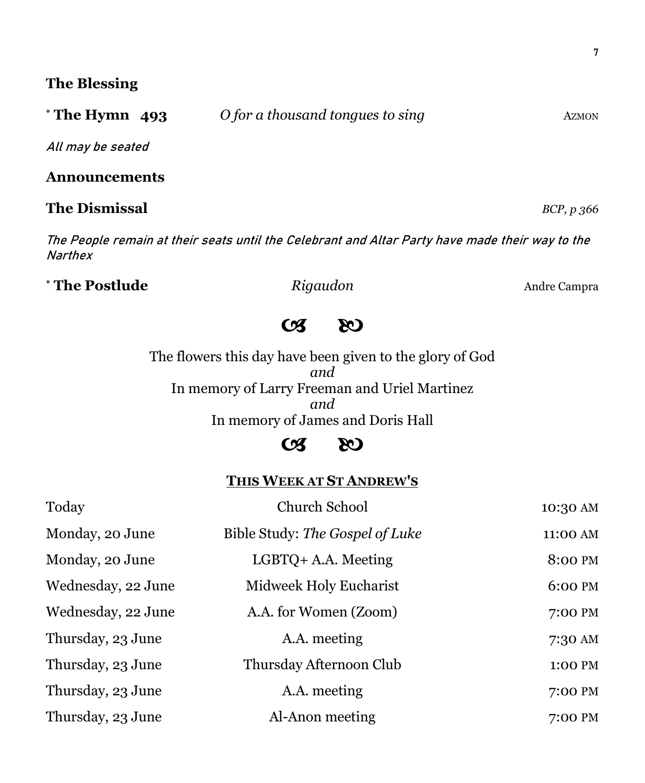# **The Blessing**

| $*$ The Hymn 493 | O for a thousand tongues to sing | Azmon |
|------------------|----------------------------------|-------|
|------------------|----------------------------------|-------|

All may be seated

#### **Announcements**

## **The Dismissal** *BCP, p 366*

The People remain at their seats until the Celebrant and Altar Party have made their way to the **Narthex** 

## **\* The Postlude** *Rigaudon* **Andre Campra**

# $CZ$   $\infty$

The flowers this day have been given to the glory of God *and* In memory of Larry Freeman and Uriel Martinez *and* In memory of James and Doris Hall

# $\infty$

## **THIS WEEK AT ST ANDREW'S**

| Today              | Church School                   | 10:30 AM |
|--------------------|---------------------------------|----------|
| Monday, 20 June    | Bible Study: The Gospel of Luke | 11:00 AM |
| Monday, 20 June    | LGBTQ+ A.A. Meeting             | 8:00 PM  |
| Wednesday, 22 June | Midweek Holy Eucharist          | 6:00 PM  |
| Wednesday, 22 June | A.A. for Women (Zoom)           | 7:00 PM  |
| Thursday, 23 June  | A.A. meeting                    | 7:30 AM  |
| Thursday, 23 June  | Thursday Afternoon Club         | 1:00 PM  |
| Thursday, 23 June  | A.A. meeting                    | 7:00 PM  |
| Thursday, 23 June  | Al-Anon meeting                 | 7:00 PM  |